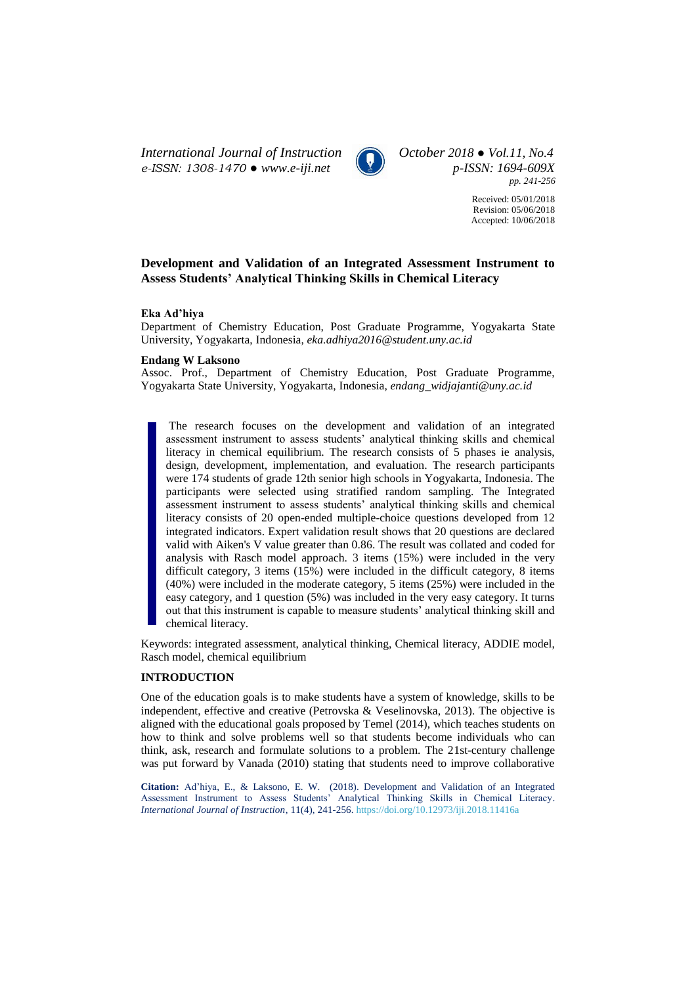*International Journal of Instruction October 2018 ● Vol.11, No.4 e-ISSN: 1308-1470 ● [www.e-iji.net](http://www.e-iji.net/) p-ISSN: 1694-609X*



*pp. 241-256*

Received: 05/01/2018 Revision: 05/06/2018 Accepted: 10/06/2018

# **Development and Validation of an Integrated Assessment Instrument to Assess Students' Analytical Thinking Skills in Chemical Literacy**

# **Eka Ad'hiya**

Department of Chemistry Education, Post Graduate Programme, Yogyakarta State University, Yogyakarta, Indonesia, *eka.adhiya2016@student.uny.ac.id*

# **Endang W Laksono**

Assoc. Prof., Department of Chemistry Education, Post Graduate Programme, Yogyakarta State University, Yogyakarta, Indonesia, *endang\_widjajanti@uny.ac.id*

The research focuses on the development and validation of an integrated assessment instrument to assess students' analytical thinking skills and chemical literacy in chemical equilibrium. The research consists of 5 phases ie analysis, design, development, implementation, and evaluation. The research participants were 174 students of grade 12th senior high schools in Yogyakarta, Indonesia. The participants were selected using stratified random sampling. The Integrated assessment instrument to assess students' analytical thinking skills and chemical literacy consists of 20 open-ended multiple-choice questions developed from 12 integrated indicators. Expert validation result shows that 20 questions are declared valid with Aiken's V value greater than 0.86. The result was collated and coded for analysis with Rasch model approach. 3 items (15%) were included in the very difficult category, 3 items (15%) were included in the difficult category, 8 items (40%) were included in the moderate category, 5 items (25%) were included in the easy category, and 1 question (5%) was included in the very easy category. It turns out that this instrument is capable to measure students' analytical thinking skill and chemical literacy.

Keywords: integrated assessment, analytical thinking, Chemical literacy, ADDIE model, Rasch model, chemical equilibrium

# **INTRODUCTION**

One of the education goals is to make students have a system of knowledge, skills to be independent, effective and creative (Petrovska & Veselinovska, 2013). The objective is aligned with the educational goals proposed by Temel (2014), which teaches students on how to think and solve problems well so that students become individuals who can think, ask, research and formulate solutions to a problem. The 21st-century challenge was put forward by Vanada (2010) stating that students need to improve collaborative

**Citation:** Ad'hiya, E., & Laksono, E. W. (2018). Development and Validation of an Integrated Assessment Instrument to Assess Students' Analytical Thinking Skills in Chemical Literacy. *International Journal of Instruction*, 11(4), 241-256. <https://doi.org/10.12973/iji.2018.11416a>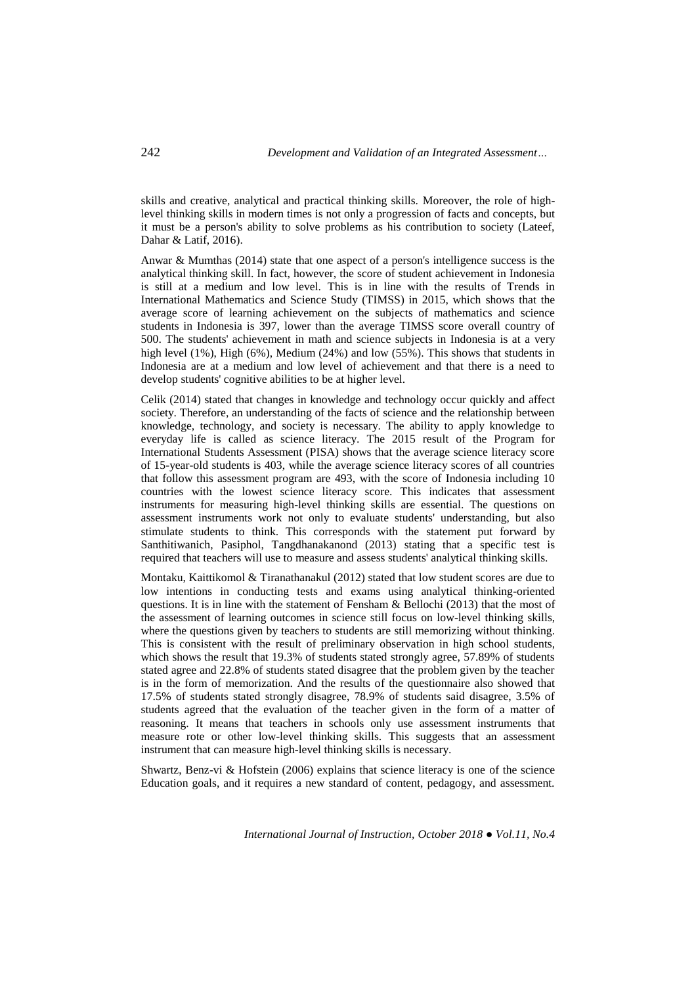skills and creative, analytical and practical thinking skills. Moreover, the role of highlevel thinking skills in modern times is not only a progression of facts and concepts, but it must be a person's ability to solve problems as his contribution to society (Lateef, Dahar & Latif, 2016).

Anwar & Mumthas (2014) state that one aspect of a person's intelligence success is the analytical thinking skill. In fact, however, the score of student achievement in Indonesia is still at a medium and low level. This is in line with the results of Trends in International Mathematics and Science Study (TIMSS) in 2015, which shows that the average score of learning achievement on the subjects of mathematics and science students in Indonesia is 397, lower than the average TIMSS score overall country of 500. The students' achievement in math and science subjects in Indonesia is at a very high level (1%), High (6%), Medium (24%) and low (55%). This shows that students in Indonesia are at a medium and low level of achievement and that there is a need to develop students' cognitive abilities to be at higher level.

Celik (2014) stated that changes in knowledge and technology occur quickly and affect society. Therefore, an understanding of the facts of science and the relationship between knowledge, technology, and society is necessary. The ability to apply knowledge to everyday life is called as science literacy. The 2015 result of the Program for International Students Assessment (PISA) shows that the average science literacy score of 15-year-old students is 403, while the average science literacy scores of all countries that follow this assessment program are 493, with the score of Indonesia including 10 countries with the lowest science literacy score. This indicates that assessment instruments for measuring high-level thinking skills are essential. The questions on assessment instruments work not only to evaluate students' understanding, but also stimulate students to think. This corresponds with the statement put forward by Santhitiwanich, Pasiphol, Tangdhanakanond (2013) stating that a specific test is required that teachers will use to measure and assess students' analytical thinking skills.

Montaku, Kaittikomol & Tiranathanakul (2012) stated that low student scores are due to low intentions in conducting tests and exams using analytical thinking-oriented questions. It is in line with the statement of Fensham & Bellochi (2013) that the most of the assessment of learning outcomes in science still focus on low-level thinking skills, where the questions given by teachers to students are still memorizing without thinking. This is consistent with the result of preliminary observation in high school students, which shows the result that 19.3% of students stated strongly agree, 57.89% of students stated agree and 22.8% of students stated disagree that the problem given by the teacher is in the form of memorization. And the results of the questionnaire also showed that 17.5% of students stated strongly disagree, 78.9% of students said disagree, 3.5% of students agreed that the evaluation of the teacher given in the form of a matter of reasoning. It means that teachers in schools only use assessment instruments that measure rote or other low-level thinking skills. This suggests that an assessment instrument that can measure high-level thinking skills is necessary.

Shwartz, Benz-vi & Hofstein (2006) explains that science literacy is one of the science Education goals, and it requires a new standard of content, pedagogy, and assessment.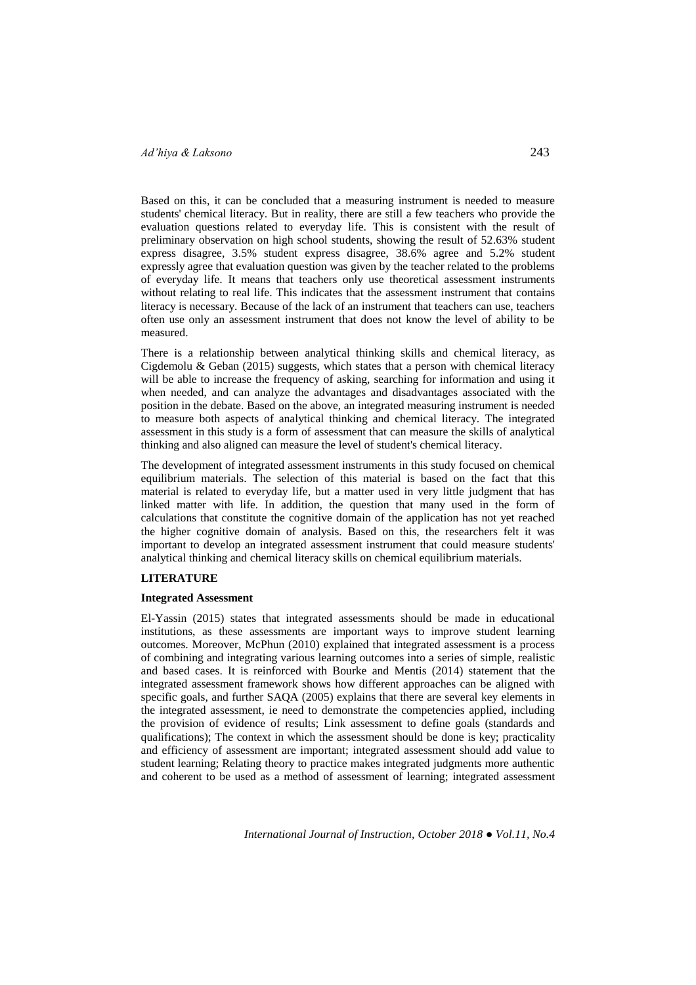# *Ad'hiya & Laksono* 243

Based on this, it can be concluded that a measuring instrument is needed to measure students' chemical literacy. But in reality, there are still a few teachers who provide the evaluation questions related to everyday life. This is consistent with the result of preliminary observation on high school students, showing the result of 52.63% student express disagree, 3.5% student express disagree, 38.6% agree and 5.2% student expressly agree that evaluation question was given by the teacher related to the problems of everyday life. It means that teachers only use theoretical assessment instruments without relating to real life. This indicates that the assessment instrument that contains literacy is necessary. Because of the lack of an instrument that teachers can use, teachers often use only an assessment instrument that does not know the level of ability to be measured.

There is a relationship between analytical thinking skills and chemical literacy, as Cigdemolu & Geban  $(2015)$  suggests, which states that a person with chemical literacy will be able to increase the frequency of asking, searching for information and using it when needed, and can analyze the advantages and disadvantages associated with the position in the debate. Based on the above, an integrated measuring instrument is needed to measure both aspects of analytical thinking and chemical literacy. The integrated assessment in this study is a form of assessment that can measure the skills of analytical thinking and also aligned can measure the level of student's chemical literacy.

The development of integrated assessment instruments in this study focused on chemical equilibrium materials. The selection of this material is based on the fact that this material is related to everyday life, but a matter used in very little judgment that has linked matter with life. In addition, the question that many used in the form of calculations that constitute the cognitive domain of the application has not yet reached the higher cognitive domain of analysis. Based on this, the researchers felt it was important to develop an integrated assessment instrument that could measure students' analytical thinking and chemical literacy skills on chemical equilibrium materials.

# **LITERATURE**

#### **Integrated Assessment**

El-Yassin (2015) states that integrated assessments should be made in educational institutions, as these assessments are important ways to improve student learning outcomes. Moreover, McPhun (2010) explained that integrated assessment is a process of combining and integrating various learning outcomes into a series of simple, realistic and based cases. It is reinforced with Bourke and Mentis (2014) statement that the integrated assessment framework shows how different approaches can be aligned with specific goals, and further SAQA (2005) explains that there are several key elements in the integrated assessment, ie need to demonstrate the competencies applied, including the provision of evidence of results; Link assessment to define goals (standards and qualifications); The context in which the assessment should be done is key; practicality and efficiency of assessment are important; integrated assessment should add value to student learning; Relating theory to practice makes integrated judgments more authentic and coherent to be used as a method of assessment of learning; integrated assessment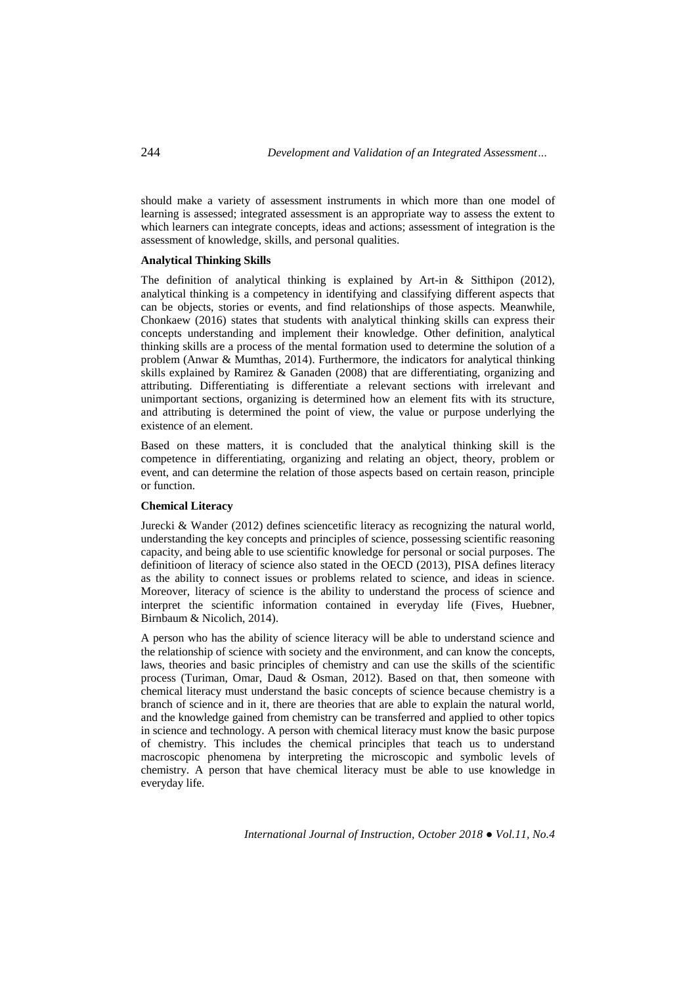should make a variety of assessment instruments in which more than one model of learning is assessed; integrated assessment is an appropriate way to assess the extent to which learners can integrate concepts, ideas and actions; assessment of integration is the assessment of knowledge, skills, and personal qualities.

## **Analytical Thinking Skills**

The definition of analytical thinking is explained by Art-in & Sitthipon (2012), analytical thinking is a competency in identifying and classifying different aspects that can be objects, stories or events, and find relationships of those aspects. Meanwhile, Chonkaew (2016) states that students with analytical thinking skills can express their concepts understanding and implement their knowledge. Other definition, analytical thinking skills are a process of the mental formation used to determine the solution of a problem (Anwar & Mumthas, 2014). Furthermore, the indicators for analytical thinking skills explained by Ramirez & Ganaden (2008) that are differentiating, organizing and attributing. Differentiating is differentiate a relevant sections with irrelevant and unimportant sections, organizing is determined how an element fits with its structure, and attributing is determined the point of view, the value or purpose underlying the existence of an element.

Based on these matters, it is concluded that the analytical thinking skill is the competence in differentiating, organizing and relating an object, theory, problem or event, and can determine the relation of those aspects based on certain reason, principle or function.

# **Chemical Literacy**

Jurecki & Wander (2012) defines sciencetific literacy as recognizing the natural world, understanding the key concepts and principles of science, possessing scientific reasoning capacity, and being able to use scientific knowledge for personal or social purposes. The definitioon of literacy of science also stated in the OECD (2013), PISA defines literacy as the ability to connect issues or problems related to science, and ideas in science. Moreover, literacy of science is the ability to understand the process of science and interpret the scientific information contained in everyday life (Fives, Huebner, Birnbaum & Nicolich, 2014).

A person who has the ability of science literacy will be able to understand science and the relationship of science with society and the environment, and can know the concepts, laws, theories and basic principles of chemistry and can use the skills of the scientific process (Turiman, Omar, Daud & Osman, 2012). Based on that, then someone with chemical literacy must understand the basic concepts of science because chemistry is a branch of science and in it, there are theories that are able to explain the natural world, and the knowledge gained from chemistry can be transferred and applied to other topics in science and technology. A person with chemical literacy must know the basic purpose of chemistry. This includes the chemical principles that teach us to understand macroscopic phenomena by interpreting the microscopic and symbolic levels of chemistry. A person that have chemical literacy must be able to use knowledge in everyday life.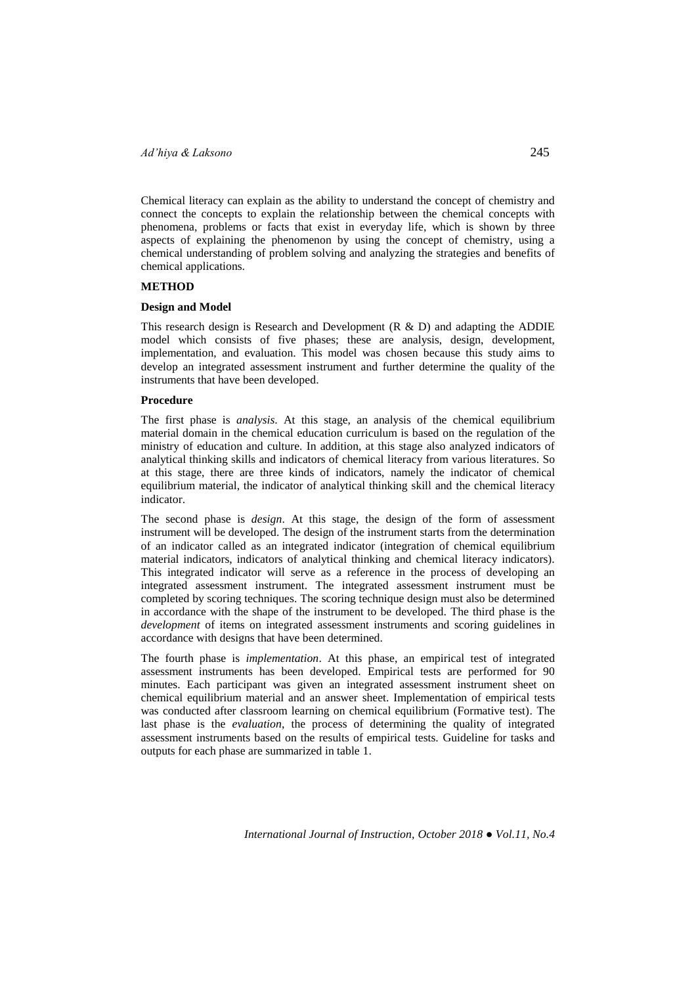Chemical literacy can explain as the ability to understand the concept of chemistry and connect the concepts to explain the relationship between the chemical concepts with phenomena, problems or facts that exist in everyday life, which is shown by three aspects of explaining the phenomenon by using the concept of chemistry, using a chemical understanding of problem solving and analyzing the strategies and benefits of chemical applications.

# **METHOD**

## **Design and Model**

This research design is Research and Development (R & D) and adapting the ADDIE model which consists of five phases; these are analysis, design, development, implementation, and evaluation. This model was chosen because this study aims to develop an integrated assessment instrument and further determine the quality of the instruments that have been developed.

## **Procedure**

The first phase is *analysis*. At this stage, an analysis of the chemical equilibrium material domain in the chemical education curriculum is based on the regulation of the ministry of education and culture. In addition, at this stage also analyzed indicators of analytical thinking skills and indicators of chemical literacy from various literatures. So at this stage, there are three kinds of indicators, namely the indicator of chemical equilibrium material, the indicator of analytical thinking skill and the chemical literacy indicator.

The second phase is *design*. At this stage, the design of the form of assessment instrument will be developed. The design of the instrument starts from the determination of an indicator called as an integrated indicator (integration of chemical equilibrium material indicators, indicators of analytical thinking and chemical literacy indicators). This integrated indicator will serve as a reference in the process of developing an integrated assessment instrument. The integrated assessment instrument must be completed by scoring techniques. The scoring technique design must also be determined in accordance with the shape of the instrument to be developed. The third phase is the *development* of items on integrated assessment instruments and scoring guidelines in accordance with designs that have been determined.

The fourth phase is *implementation*. At this phase, an empirical test of integrated assessment instruments has been developed. Empirical tests are performed for 90 minutes. Each participant was given an integrated assessment instrument sheet on chemical equilibrium material and an answer sheet. Implementation of empirical tests was conducted after classroom learning on chemical equilibrium (Formative test). The last phase is the *evaluation*, the process of determining the quality of integrated assessment instruments based on the results of empirical tests. Guideline for tasks and outputs for each phase are summarized in table 1.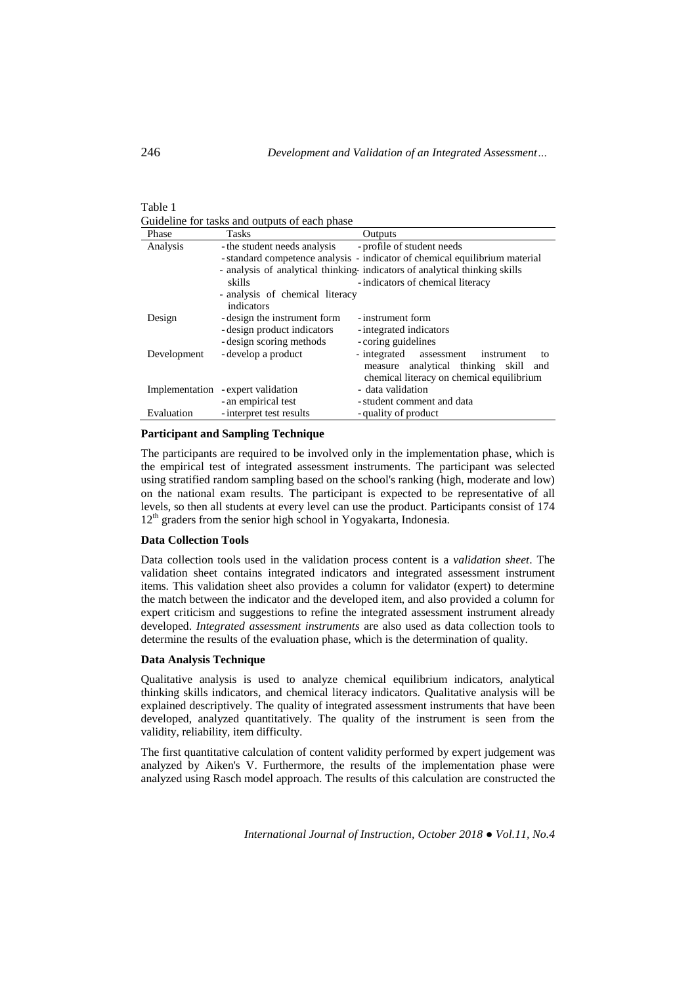246 *Development and Validation of an Integrated Assessment…*

| Table 1                                       |  |  |
|-----------------------------------------------|--|--|
| Guideline for tasks and outputs of each phase |  |  |

| Phase          | <b>Tasks</b>                                  | Outputs                                                                     |
|----------------|-----------------------------------------------|-----------------------------------------------------------------------------|
| Analysis       | - the student needs analysis                  | - profile of student needs                                                  |
|                |                                               | - standard competence analysis - indicator of chemical equilibrium material |
|                |                                               | - analysis of analytical thinking-indicators of analytical thinking skills  |
|                | skills                                        | -indicators of chemical literacy                                            |
|                | - analysis of chemical literacy<br>indicators |                                                                             |
| Design         | - design the instrument form                  | - instrument form                                                           |
|                | - design product indicators                   | - integrated indicators                                                     |
|                | - design scoring methods                      | - coring guidelines                                                         |
| Development    | - develop a product                           | - integrated<br>assessment<br>instrument<br>to                              |
|                |                                               | measure analytical thinking skill and                                       |
|                |                                               | chemical literacy on chemical equilibrium                                   |
| Implementation | - expert validation                           | - data validation                                                           |
|                | - an empirical test                           | - student comment and data                                                  |
| Evaluation     | - interpret test results                      | -quality of product                                                         |

# **Participant and Sampling Technique**

The participants are required to be involved only in the implementation phase, which is the empirical test of integrated assessment instruments. The participant was selected using stratified random sampling based on the school's ranking (high, moderate and low) on the national exam results. The participant is expected to be representative of all levels, so then all students at every level can use the product. Participants consist of 174  $12<sup>th</sup>$  graders from the senior high school in Yogyakarta, Indonesia.

# **Data Collection Tools**

Data collection tools used in the validation process content is a *validation sheet*. The validation sheet contains integrated indicators and integrated assessment instrument items. This validation sheet also provides a column for validator (expert) to determine the match between the indicator and the developed item, and also provided a column for expert criticism and suggestions to refine the integrated assessment instrument already developed. *Integrated assessment instruments* are also used as data collection tools to determine the results of the evaluation phase, which is the determination of quality.

## **Data Analysis Technique**

Qualitative analysis is used to analyze chemical equilibrium indicators, analytical thinking skills indicators, and chemical literacy indicators. Qualitative analysis will be explained descriptively. The quality of integrated assessment instruments that have been developed, analyzed quantitatively. The quality of the instrument is seen from the validity, reliability, item difficulty.

The first quantitative calculation of content validity performed by expert judgement was analyzed by Aiken's V. Furthermore, the results of the implementation phase were analyzed using Rasch model approach. The results of this calculation are constructed the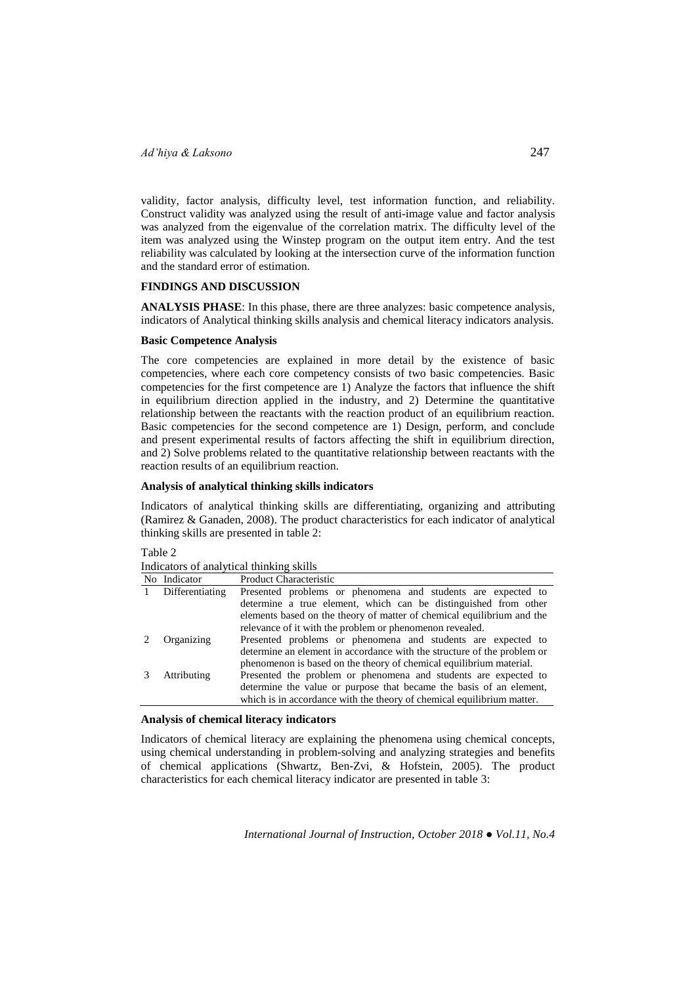validity, factor analysis, difficulty level, test information function, and reliability. Construct validity was analyzed using the result of anti-image value and factor analysis was analyzed from the eigenvalue of the correlation matrix. The difficulty level of the item was analyzed using the Winstep program on the output item entry. And the test reliability was calculated by looking at the intersection curve of the information function and the standard error of estimation.

# **FINDINGS AND DISCUSSION**

**ANALYSIS PHASE**: In this phase, there are three analyzes: basic competence analysis, indicators of Analytical thinking skills analysis and chemical literacy indicators analysis.

#### **Basic Competence Analysis**

The core competencies are explained in more detail by the existence of basic competencies, where each core competency consists of two basic competencies. Basic competencies for the first competence are 1) Analyze the factors that influence the shift in equilibrium direction applied in the industry, and 2) Determine the quantitative relationship between the reactants with the reaction product of an equilibrium reaction. Basic competencies for the second competence are 1) Design, perform, and conclude and present experimental results of factors affecting the shift in equilibrium direction, and 2) Solve problems related to the quantitative relationship between reactants with the reaction results of an equilibrium reaction.

#### **Analysis of analytical thinking skills indicators**

Indicators of analytical thinking skills are differentiating, organizing and attributing (Ramirez & Ganaden, 2008). The product characteristics for each indicator of analytical thinking skills are presented in table 2:

Table 2

| Indicators of analytical thinking skills                                       |                                                                         |  |  |  |  |  |
|--------------------------------------------------------------------------------|-------------------------------------------------------------------------|--|--|--|--|--|
| No Indicator                                                                   | <b>Product Characteristic</b>                                           |  |  |  |  |  |
| Differentiating                                                                | Presented problems or phenomena and students are expected to            |  |  |  |  |  |
|                                                                                | determine a true element, which can be distinguished from other         |  |  |  |  |  |
|                                                                                | elements based on the theory of matter of chemical equilibrium and the  |  |  |  |  |  |
|                                                                                | relevance of it with the problem or phenomenon revealed.                |  |  |  |  |  |
| Organizing                                                                     | Presented problems or phenomena and students are expected to            |  |  |  |  |  |
|                                                                                | determine an element in accordance with the structure of the problem or |  |  |  |  |  |
|                                                                                | phenomenon is based on the theory of chemical equilibrium material.     |  |  |  |  |  |
| Presented the problem or phenomena and students are expected to<br>Attributing |                                                                         |  |  |  |  |  |
|                                                                                | determine the value or purpose that became the basis of an element,     |  |  |  |  |  |
|                                                                                | which is in accordance with the theory of chemical equilibrium matter.  |  |  |  |  |  |

## **Analysis of chemical literacy indicators**

Indicators of chemical literacy are explaining the phenomena using chemical concepts, using chemical understanding in problem-solving and analyzing strategies and benefits of chemical applications (Shwartz*,* Ben-Zvi, & Hofstein, 2005). The product characteristics for each chemical literacy indicator are presented in table 3: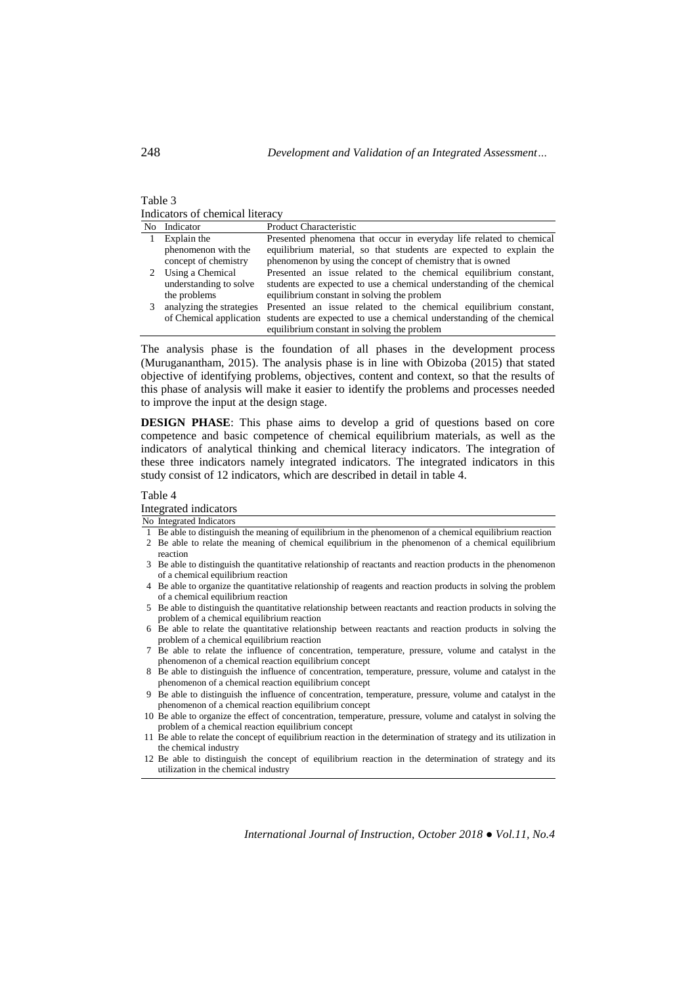Table 3 Indicators of chemical literacy

| No. | Indicator                | Product Characteristic                                                                        |
|-----|--------------------------|-----------------------------------------------------------------------------------------------|
|     | Explain the              | Presented phenomena that occur in everyday life related to chemical                           |
|     | phenomenon with the      | equilibrium material, so that students are expected to explain the                            |
|     | concept of chemistry     | phenomenon by using the concept of chemistry that is owned                                    |
|     | Using a Chemical         | Presented an issue related to the chemical equilibrium constant,                              |
|     | understanding to solve   | students are expected to use a chemical understanding of the chemical                         |
|     | the problems             | equilibrium constant in solving the problem                                                   |
| 3   | analyzing the strategies | Presented an issue related to the chemical equilibrium constant,                              |
|     |                          | of Chemical application students are expected to use a chemical understanding of the chemical |
|     |                          | equilibrium constant in solving the problem                                                   |

The analysis phase is the foundation of all phases in the development process (Muruganantham, 2015). The analysis phase is in line with Obizoba (2015) that stated objective of identifying problems, objectives, content and context, so that the results of this phase of analysis will make it easier to identify the problems and processes needed to improve the input at the design stage.

**DESIGN PHASE**: This phase aims to develop a grid of questions based on core competence and basic competence of chemical equilibrium materials, as well as the indicators of analytical thinking and chemical literacy indicators. The integration of these three indicators namely integrated indicators. The integrated indicators in this study consist of 12 indicators, which are described in detail in table 4.

#### Table 4

#### Integrated indicators

#### No Integrated Indicators

- 1 Be able to distinguish the meaning of equilibrium in the phenomenon of a chemical equilibrium reaction 2 Be able to relate the meaning of chemical equilibrium in the phenomenon of a chemical equilibrium
- reaction 3 Be able to distinguish the quantitative relationship of reactants and reaction products in the phenomenon
- of a chemical equilibrium reaction
- 4 Be able to organize the quantitative relationship of reagents and reaction products in solving the problem of a chemical equilibrium reaction
- 5 Be able to distinguish the quantitative relationship between reactants and reaction products in solving the problem of a chemical equilibrium reaction
- 6 Be able to relate the quantitative relationship between reactants and reaction products in solving the problem of a chemical equilibrium reaction
- 7 Be able to relate the influence of concentration, temperature, pressure, volume and catalyst in the phenomenon of a chemical reaction equilibrium concept
- 8 Be able to distinguish the influence of concentration, temperature, pressure, volume and catalyst in the phenomenon of a chemical reaction equilibrium concept
- 9 Be able to distinguish the influence of concentration, temperature, pressure, volume and catalyst in the phenomenon of a chemical reaction equilibrium concept
- 10 Be able to organize the effect of concentration, temperature, pressure, volume and catalyst in solving the problem of a chemical reaction equilibrium concept
- 11 Be able to relate the concept of equilibrium reaction in the determination of strategy and its utilization in the chemical industry
- 12 Be able to distinguish the concept of equilibrium reaction in the determination of strategy and its utilization in the chemical industry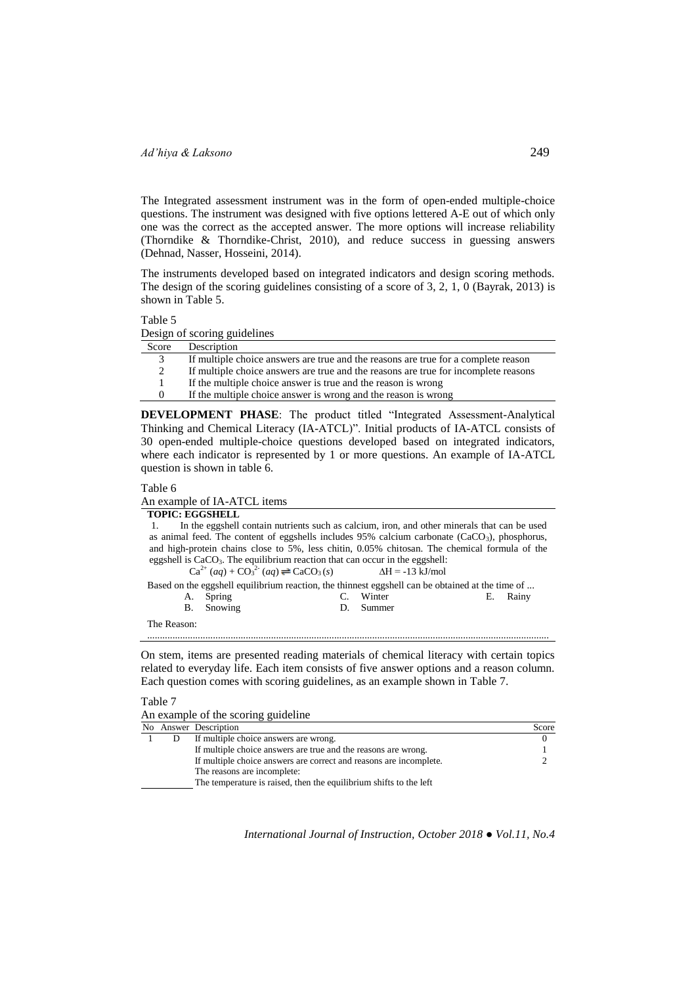# *Ad'hiya & Laksono* 249

The Integrated assessment instrument was in the form of open-ended multiple-choice questions. The instrument was designed with five options lettered A-E out of which only one was the correct as the accepted answer. The more options will increase reliability (Thorndike & Thorndike-Christ, 2010), and reduce success in guessing answers (Dehnad, Nasser, Hosseini, 2014).

The instruments developed based on integrated indicators and design scoring methods. The design of the scoring guidelines consisting of a score of 3, 2, 1, 0 (Bayrak, 2013) is shown in Table 5.

Table 5

Design of scoring guidelines

| Score | Description                                                                         |
|-------|-------------------------------------------------------------------------------------|
|       | If multiple choice answers are true and the reasons are true for a complete reason  |
|       | If multiple choice answers are true and the reasons are true for incomplete reasons |
|       | If the multiple choice answer is true and the reason is wrong                       |
|       | If the multiple choice answer is wrong and the reason is wrong                      |

**DEVELOPMENT PHASE**: The product titled "Integrated Assessment-Analytical Thinking and Chemical Literacy (IA-ATCL)". Initial products of IA-ATCL consists of 30 open-ended multiple-choice questions developed based on integrated indicators, where each indicator is represented by 1 or more questions. An example of IA-ATCL question is shown in table 6.

#### Table 6

An example of IA-ATCL items

#### **TOPIC: EGGSHELL**

1. In the eggshell contain nutrients such as calcium, iron, and other minerals that can be used as animal feed. The content of eggshells includes 95% calcium carbonate (CaCO<sub>3</sub>), phosphorus, and high-protein chains close to  $\frac{5}{9}$ , less chitin, 0.05% chitosan. The chemical formula of the eggshell is CaCO<sub>3</sub>. The equilibrium reaction that can occur in the eggshell:<br>Ca<sup>2+</sup> (aq) + CO<sub>3</sub><sup>2</sup> (aq) = CaCO<sub>3</sub>(s)  $\Delta H = -13$  kJ/mol

 $Ca^{2+} (aq) + CO_3^{2-} (aq) = CaCO_3(s)$   $\Delta H = -13 \text{ kJ/mol}$ 

Based on the eggshell equilibrium reaction, the thinnest eggshell can be obtained at the time of ...

|         | A. Spring<br>B. Snowing | C. Winter<br>D. Summer | Rainy |
|---------|-------------------------|------------------------|-------|
| Dageon: |                         |                        |       |

The Reason: ...............................................................................................................................................................

On stem, items are presented reading materials of chemical literacy with certain topics related to everyday life. Each item consists of five answer options and a reason column. Each question comes with scoring guidelines, as an example shown in Table 7.

Table 7

An example of the scoring guideline

|  | No Answer Description                                              | Score |
|--|--------------------------------------------------------------------|-------|
|  | If multiple choice answers are wrong.                              |       |
|  | If multiple choice answers are true and the reasons are wrong.     |       |
|  | If multiple choice answers are correct and reasons are incomplete. |       |
|  | The reasons are incomplete:                                        |       |
|  | The temperature is reject then the equilibrium shifts to the left  |       |

The temperature is raised, then the equilibrium shifts to the left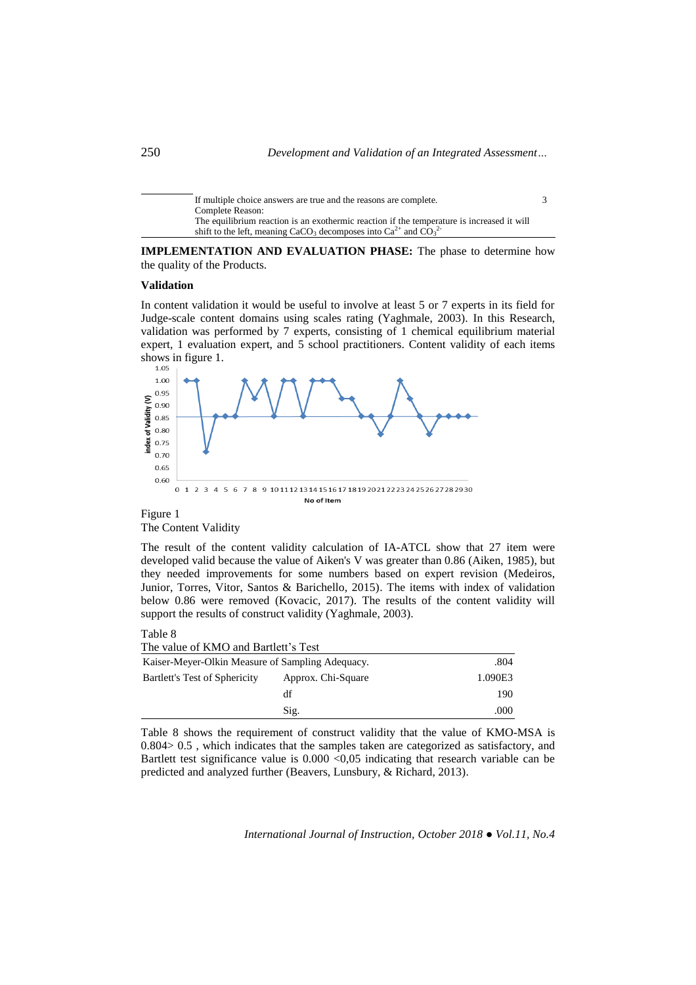3

| If multiple choice answers are true and the reasons are complete.                          |
|--------------------------------------------------------------------------------------------|
| Complete Reason:                                                                           |
| The equilibrium reaction is an exothermic reaction if the temperature is increased it will |
| shift to the left, meaning CaCO <sub>3</sub> decomposes into $Ca^{2+}$ and $CO32-$         |

**IMPLEMENTATION AND EVALUATION PHASE:** The phase to determine how the quality of the Products.

#### **Validation**

In content validation it would be useful to involve at least 5 or 7 experts in its field for Judge-scale content domains using scales rating (Yaghmale, 2003). In this Research, validation was performed by 7 experts, consisting of 1 chemical equilibrium material expert, 1 evaluation expert, and 5 school practitioners. Content validity of each items shows in figure 1.



# Figure 1

The Content Validity

The result of the content validity calculation of IA-ATCL show that 27 item were developed valid because the value of Aiken's V was greater than 0.86 (Aiken, 1985), but they needed improvements for some numbers based on expert revision (Medeiros, Junior, Torres, Vitor, Santos & Barichello, 2015). The items with index of validation below 0.86 were removed (Kovacic, 2017). The results of the content validity will support the results of construct validity (Yaghmale, 2003).

Table 8

| The value of KMO and Bartlett's Test                     |                    |         |  |  |  |
|----------------------------------------------------------|--------------------|---------|--|--|--|
| .804<br>Kaiser-Meyer-Olkin Measure of Sampling Adequacy. |                    |         |  |  |  |
| Bartlett's Test of Sphericity                            | Approx. Chi-Square | 1.090E3 |  |  |  |
|                                                          | df                 | 190     |  |  |  |
|                                                          | Sig.               | .000    |  |  |  |

Table 8 shows the requirement of construct validity that the value of KMO-MSA is  $0.804 > 0.5$ , which indicates that the samples taken are categorized as satisfactory, and Bartlett test significance value is  $0.000 \le 0.05$  indicating that research variable can be predicted and analyzed further (Beavers, Lunsbury, & Richard, 2013).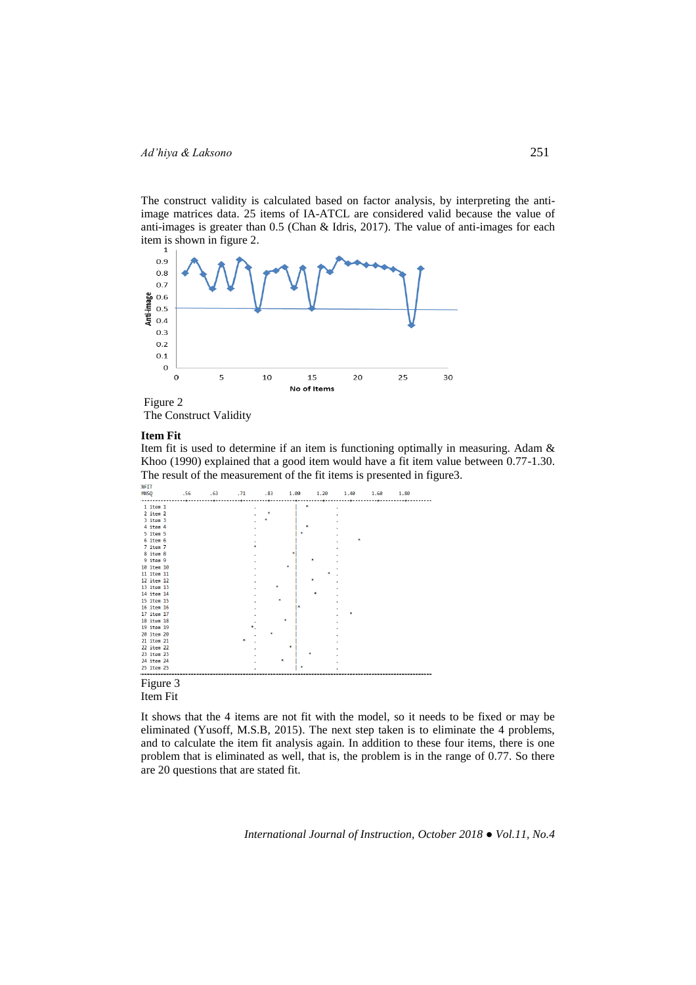The construct validity is calculated based on factor analysis, by interpreting the antiimage matrices data. 25 items of IA-ATCL are considered valid because the value of anti-images is greater than 0.5 (Chan & Idris, 2017). The value of anti-images for each item is shown in figure 2.



The Construct Validity

## **Item Fit**

Item fit is used to determine if an item is functioning optimally in measuring. Adam & Khoo (1990) explained that a good item would have a fit item value between 0.77-1.30. The result of the measurement of the fit items is presented in figure3.

| JNF 11<br><b>MNSQ</b> |                          | .56 | $.63$ $.71$ $.83$ | 1.00 | 1.20 | 1.40 1.60 | 1.80 |
|-----------------------|--------------------------|-----|-------------------|------|------|-----------|------|
|                       | 1 item 1                 |     |                   |      |      |           |      |
|                       | 2 item 2                 |     |                   |      |      |           |      |
|                       | 3 item 3                 |     |                   |      |      |           |      |
|                       | 4 item 4                 |     |                   |      |      |           |      |
|                       | 5 item 5                 |     |                   |      |      |           |      |
|                       | 6 item 6                 |     |                   |      |      |           |      |
|                       | 7 item 7                 |     |                   |      |      |           |      |
|                       | 8 item 8                 |     |                   |      |      |           |      |
|                       | 9 item 9                 |     |                   |      |      |           |      |
|                       | 10 item 10               |     |                   | ×    |      |           |      |
|                       | 11 item 11               |     |                   |      |      |           |      |
|                       | 12 item 12               |     |                   |      |      |           |      |
|                       | 13 item 13               |     |                   |      |      |           |      |
|                       | 14 item 14<br>15 item 15 |     |                   |      |      |           |      |
|                       | 16 item 16               |     |                   |      |      |           |      |
|                       | 17 item 17               |     |                   |      |      |           |      |
|                       | 18 item 18               |     |                   |      |      |           |      |
|                       | 19 item 19               |     |                   |      |      |           |      |
|                       | 20 item 20               |     |                   |      |      |           |      |
|                       | 21 item 21               |     |                   |      |      |           |      |
|                       | 22 item 22               |     |                   |      |      |           |      |
|                       | $23$ item $23$           |     |                   |      |      |           |      |
|                       | 24 item 24               |     |                   |      |      |           |      |
|                       | 25 item 25               |     |                   |      |      |           |      |
|                       | Figure 3                 |     |                   |      |      |           |      |



It shows that the 4 items are not fit with the model, so it needs to be fixed or may be eliminated (Yusoff, M.S.B, 2015). The next step taken is to eliminate the 4 problems, and to calculate the item fit analysis again. In addition to these four items, there is one problem that is eliminated as well, that is, the problem is in the range of 0.77. So there are 20 questions that are stated fit.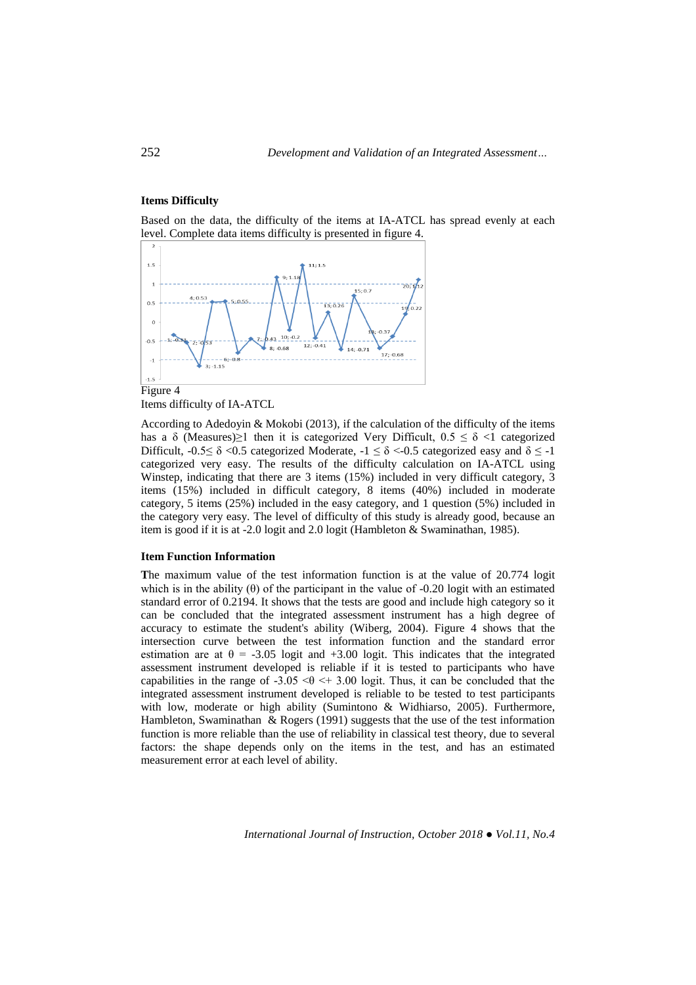# **Items Difficulty**

Based on the data, the difficulty of the items at IA-ATCL has spread evenly at each level. Complete data items difficulty is presented in figure 4.





According to Adedoyin & Mokobi (2013), if the calculation of the difficulty of the items has a  $\delta$  (Measures)≥1 then it is categorized Very Difficult, 0.5  $\leq \delta$  <1 categorized Difficult,  $-0.5 \le \delta < 0.5$  categorized Moderate,  $-1 \le \delta < 0.5$  categorized easy and  $\delta \le -1$ categorized very easy. The results of the difficulty calculation on IA-ATCL using Winstep, indicating that there are 3 items (15%) included in very difficult category, 3 items (15%) included in difficult category, 8 items (40%) included in moderate category, 5 items (25%) included in the easy category, and 1 question (5%) included in the category very easy. The level of difficulty of this study is already good, because an item is good if it is at -2.0 logit and 2.0 logit (Hambleton & Swaminathan, 1985).

#### **Item Function Information**

**T**he maximum value of the test information function is at the value of 20.774 logit which is in the ability  $(\theta)$  of the participant in the value of -0.20 logit with an estimated standard error of 0.2194. It shows that the tests are good and include high category so it can be concluded that the integrated assessment instrument has a high degree of accuracy to estimate the student's ability (Wiberg, 2004). Figure 4 shows that the intersection curve between the test information function and the standard error estimation are at  $\theta = -3.05$  logit and  $+3.00$  logit. This indicates that the integrated assessment instrument developed is reliable if it is tested to participants who have capabilities in the range of -3.05  $\leq \theta \leq 3.00$  logit. Thus, it can be concluded that the integrated assessment instrument developed is reliable to be tested to test participants with low, moderate or high ability (Sumintono & Widhiarso, 2005). Furthermore, Hambleton, Swaminathan & Rogers (1991) suggests that the use of the test information function is more reliable than the use of reliability in classical test theory, due to several factors: the shape depends only on the items in the test, and has an estimated measurement error at each level of ability.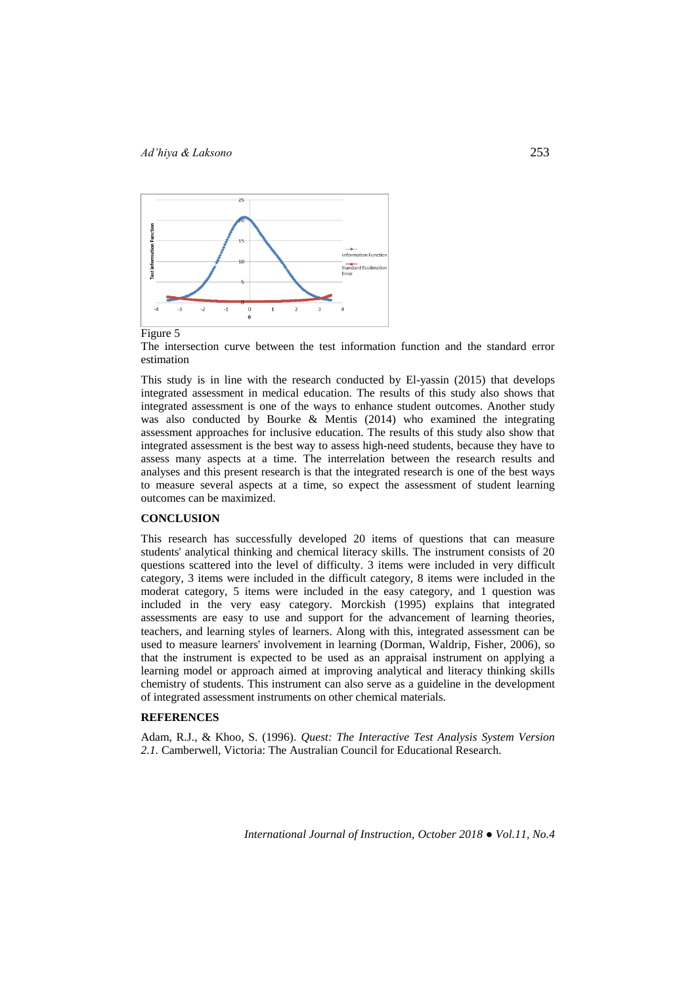

Figure 5

The intersection curve between the test information function and the standard error estimation

This study is in line with the research conducted by El-yassin (2015) that develops integrated assessment in medical education. The results of this study also shows that integrated assessment is one of the ways to enhance student outcomes. Another study was also conducted by Bourke & Mentis (2014) who examined the integrating assessment approaches for inclusive education. The results of this study also show that integrated assessment is the best way to assess high-need students, because they have to assess many aspects at a time. The interrelation between the research results and analyses and this present research is that the integrated research is one of the best ways to measure several aspects at a time, so expect the assessment of student learning outcomes can be maximized.

# **CONCLUSION**

This research has successfully developed 20 items of questions that can measure students' analytical thinking and chemical literacy skills. The instrument consists of 20 questions scattered into the level of difficulty. 3 items were included in very difficult category, 3 items were included in the difficult category, 8 items were included in the moderat category, 5 items were included in the easy category, and 1 question was included in the very easy category. Morckish (1995) explains that integrated assessments are easy to use and support for the advancement of learning theories, teachers, and learning styles of learners. Along with this, integrated assessment can be used to measure learners' involvement in learning (Dorman, Waldrip, Fisher, 2006), so that the instrument is expected to be used as an appraisal instrument on applying a learning model or approach aimed at improving analytical and literacy thinking skills chemistry of students. This instrument can also serve as a guideline in the development of integrated assessment instruments on other chemical materials.

# **REFERENCES**

Adam, R.J., & Khoo, S. (1996). *Quest: The Interactive Test Analysis System Version 2.1.* Camberwell, Victoria: The Australian Council for Educational Research.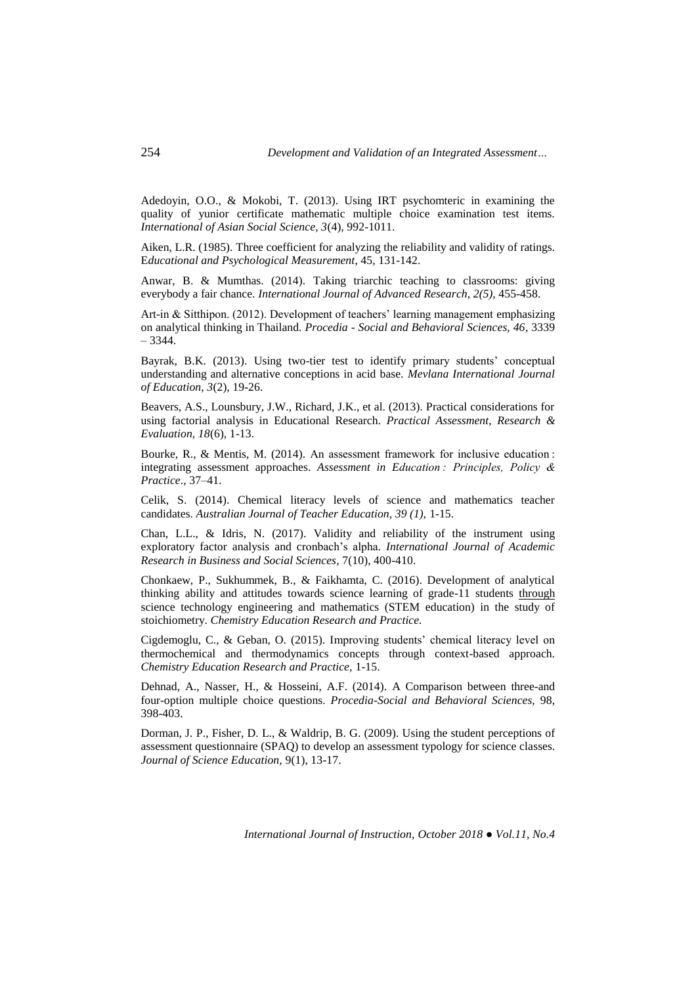Adedoyin, O.O., & Mokobi, T. (2013). Using IRT psychomteric in examining the quality of yunior certificate mathematic multiple choice examination test items. *International of Asian Social Science, 3*(4), 992-1011.

Aiken, L.R. (1985). Three coefficient for analyzing the reliability and validity of ratings. E*ducational and Psychological Measurement*, 45, 131-142.

Anwar, B. & Mumthas. (2014). Taking triarchic teaching to classrooms: giving everybody a fair chance. *International Journal of Advanced Research, 2(5),* 455-458.

Art-in & Sitthipon. (2012). Development of teachers' learning management emphasizing on analytical thinking in Thailand. *Procedia - Social and Behavioral Sciences, 46*, 3339 – 3344.

Bayrak, B.K. (2013). Using two-tier test to identify primary students' conceptual understanding and alternative conceptions in acid base. *Mevlana International Journal of Education, 3*(2), 19-26.

Beavers, A.S., Lounsbury, J.W., Richard, J.K., et al. (2013). Practical considerations for using factorial analysis in Educational Research. *Practical Assessment, Research & Evaluation, 18*(6), 1-13.

Bourke, R., & Mentis, M. (2014). An assessment framework for inclusive education : integrating assessment approaches. *Assessment in Education : Principles, Policy & Practice*.*,* 37–41.

Celik, S. (2014). Chemical literacy levels of science and mathematics teacher candidates. *Australian Journal of Teacher Education, 39 (1),* 1-15.

Chan, L.L., & Idris, N. (2017). Validity and reliability of the instrument using exploratory factor analysis and cronbach's alpha*. International Journal of Academic Research in Business and Social Sciences,* 7(10), 400-410.

Chonkaew, P., Sukhummek, B., & Faikhamta, C. (2016). Development of analytical thinking ability and attitudes towards science learning of grade-11 students through science technology engineering and mathematics (STEM education) in the study of stoichiometry. *Chemistry Education Research and Practice.* 

Cigdemoglu, C., & Geban, O. (2015). Improving students' chemical literacy level on thermochemical and thermodynamics concepts through context-based approach. *Chemistry Education Research and Practice,* 1-15.

Dehnad, A., Nasser, H., & Hosseini, A.F. (2014). A Comparison between three-and four-option multiple choice questions. *Procedia-Social and Behavioral Sciences,* 98, 398-403.

Dorman, J. P., Fisher, D. L., & Waldrip, B. G. (2009). Using the student perceptions of assessment questionnaire (SPAQ) to develop an assessment typology for science classes. *Journal of Science Education,* 9(1), 13-17.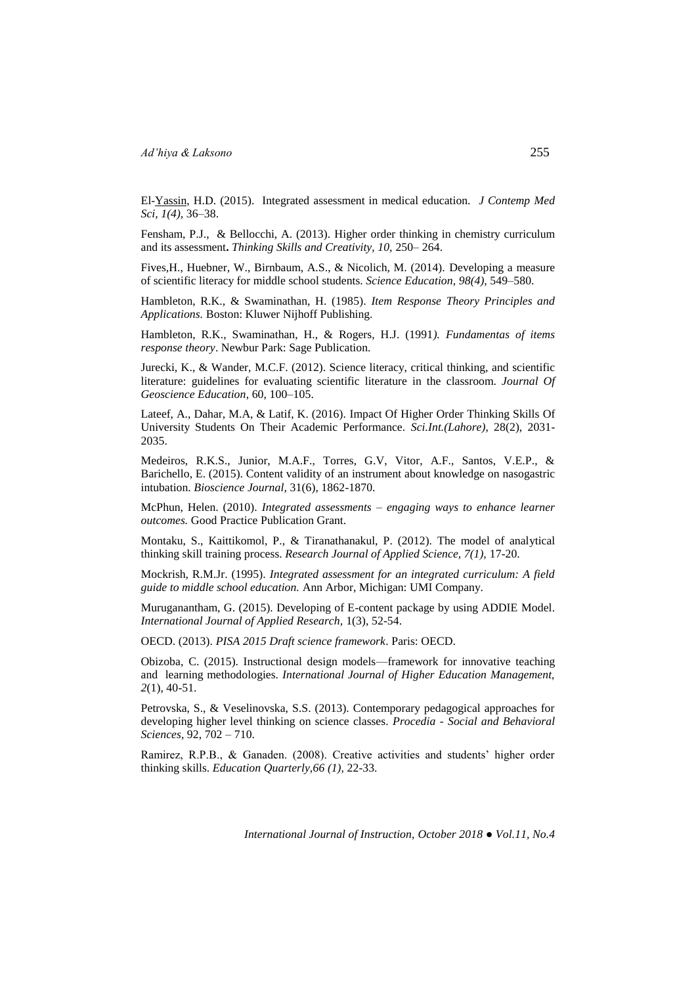El-Yassin, H.D. (2015). Integrated assessment in medical education. *J Contemp Med Sci, 1(4),* 36–38.

Fensham, P.J., & Bellocchi, A. (2013). Higher order thinking in chemistry curriculum and its assessment**.** *Thinking Skills and Creativity, 10,* 250– 264.

Fives,H., Huebner, W., Birnbaum, A.S., & Nicolich, M. (2014). Developing a measure of scientific literacy for middle school students. *Science Education*, *98(4),* 549–580.

Hambleton, R.K., & Swaminathan, H. (1985). *Item Response Theory Principles and Applications.* Boston: Kluwer Nijhoff Publishing.

Hambleton, R.K., Swaminathan, H., & Rogers, H.J. (1991*). Fundamentas of items response theory*. Newbur Park: Sage Publication.

Jurecki, K., & Wander, M.C.F. (2012). Science literacy, critical thinking, and scientific literature: guidelines for evaluating scientific literature in the classroom. *Journal Of Geoscience Education*, 60, 100–105.

Lateef, A., Dahar, M.A, & Latif, K. (2016). Impact Of Higher Order Thinking Skills Of University Students On Their Academic Performance. *Sci.Int.(Lahore)*, 28(2), 2031- 2035.

Medeiros, R.K.S., Junior, M.A.F., Torres, G.V, Vitor, A.F., Santos, V.E.P., & Barichello, E. (2015). Content validity of an instrument about knowledge on nasogastric intubation. *Bioscience Journal,* 31(6), 1862-1870.

McPhun, Helen. (2010). *Integrated assessments – engaging ways to enhance learner outcomes.* Good Practice Publication Grant.

Montaku, S., Kaittikomol, P., & Tiranathanakul, P. (2012). The model of analytical thinking skill training process. *Research Journal of Applied Science, 7(1),* 17-20.

Mockrish, R.M.Jr. (1995). *Integrated assessment for an integrated curriculum: A field guide to middle school education.* Ann Arbor, Michigan: UMI Company.

Muruganantham, G. (2015). Developing of E-content package by using ADDIE Model. *International Journal of Applied Research,* 1(3), 52-54.

OECD. (2013). *PISA 2015 Draft science framework*. Paris: OECD.

Obizoba, C. (2015). Instructional design models—framework for innovative teaching and learning methodologies. *International Journal of Higher Education Management, 2*(1), 40-51.

Petrovska, S., & Veselinovska, S.S. (2013). Contemporary pedagogical approaches for developing higher level thinking on science classes. *Procedia - Social and Behavioral Sciences*, 92, 702 – 710.

Ramirez, R.P.B., & Ganaden. (2008). Creative activities and students' higher order thinking skills. *Education Quarterly,66 (1),* 22-33.